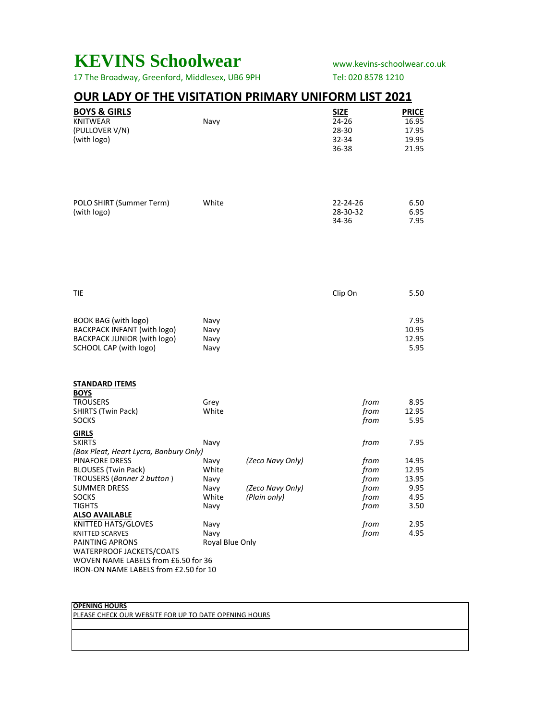## **KEVINS Schoolwear** www.kevins-schoolwear.co.uk

17 The Broadway, Greenford, Middlesex, UB6 9PH Tel: 020 8578 1210

### **OUR LADY OF THE VISITATION PRIMARY UNIFORM LIST 2021**

| <b>BOYS &amp; GIRLS</b>                                 |                 |                  | <b>SIZE</b> | <b>PRICE</b> |  |
|---------------------------------------------------------|-----------------|------------------|-------------|--------------|--|
| <b>KNITWEAR</b>                                         | Navy            |                  | 24-26       | 16.95        |  |
| (PULLOVER V/N)                                          |                 |                  | 28-30       | 17.95        |  |
| (with logo)                                             |                 |                  | 32-34       | 19.95        |  |
|                                                         |                 |                  | 36-38       | 21.95        |  |
|                                                         |                 |                  |             |              |  |
|                                                         |                 |                  |             |              |  |
|                                                         |                 |                  |             |              |  |
|                                                         |                 |                  |             |              |  |
| POLO SHIRT (Summer Term)                                | White           |                  | 22-24-26    | 6.50         |  |
| (with logo)                                             |                 |                  | 28-30-32    | 6.95         |  |
|                                                         |                 |                  | 34-36       | 7.95         |  |
|                                                         |                 |                  |             |              |  |
|                                                         |                 |                  |             |              |  |
|                                                         |                 |                  |             |              |  |
|                                                         |                 |                  |             |              |  |
|                                                         |                 |                  |             |              |  |
|                                                         |                 |                  |             |              |  |
| <b>TIE</b>                                              |                 |                  |             | 5.50         |  |
|                                                         |                 |                  | Clip On     |              |  |
|                                                         |                 |                  |             |              |  |
| BOOK BAG (with logo)                                    | Navy            |                  |             | 7.95         |  |
| BACKPACK INFANT (with logo)                             | Navy            |                  |             | 10.95        |  |
| BACKPACK JUNIOR (with logo)                             | Navy            |                  |             | 12.95        |  |
| SCHOOL CAP (with logo)                                  | Navy            |                  |             | 5.95         |  |
|                                                         |                 |                  |             |              |  |
|                                                         |                 |                  |             |              |  |
|                                                         |                 |                  |             |              |  |
| <b>STANDARD ITEMS</b><br><b>BOYS</b>                    |                 |                  |             |              |  |
| <b>TROUSERS</b>                                         | Grey            |                  | from        | 8.95         |  |
| SHIRTS (Twin Pack)                                      | White           |                  | from        | 12.95        |  |
| <b>SOCKS</b>                                            |                 |                  | from        | 5.95         |  |
|                                                         |                 |                  |             |              |  |
| <b>GIRLS</b>                                            |                 |                  |             |              |  |
| <b>SKIRTS</b><br>(Box Pleat, Heart Lycra, Banbury Only) | Navy            |                  | from        | 7.95         |  |
| <b>PINAFORE DRESS</b>                                   | Navy            | (Zeco Navy Only) | from        | 14.95        |  |
| <b>BLOUSES (Twin Pack)</b>                              | White           |                  | from        | 12.95        |  |
| TROUSERS (Banner 2 button)                              | Navy            |                  | from        | 13.95        |  |
| <b>SUMMER DRESS</b>                                     | Navy            | (Zeco Navy Only) | from        | 9.95         |  |
| <b>SOCKS</b>                                            | White           | (Plain only)     | from        | 4.95         |  |
| <b>TIGHTS</b>                                           | Navy            |                  | from        | 3.50         |  |
| <b>ALSO AVAILABLE</b>                                   |                 |                  |             |              |  |
| KNITTED HATS/GLOVES                                     | Navy            |                  | from        | 2.95         |  |
| <b>KNITTED SCARVES</b>                                  | Navy            |                  | from        | 4.95         |  |
| PAINTING APRONS                                         | Royal Blue Only |                  |             |              |  |
| WATERPROOF JACKETS/COATS                                |                 |                  |             |              |  |
| WOVEN NAME LABELS from £6.50 for 36                     |                 |                  |             |              |  |
| IRON-ON NAME LABELS from £2.50 for 10                   |                 |                  |             |              |  |

#### **OPENING HOURS**

PLEASE CHECK OUR WEBSITE FOR UP TO DATE OPENING HOURS